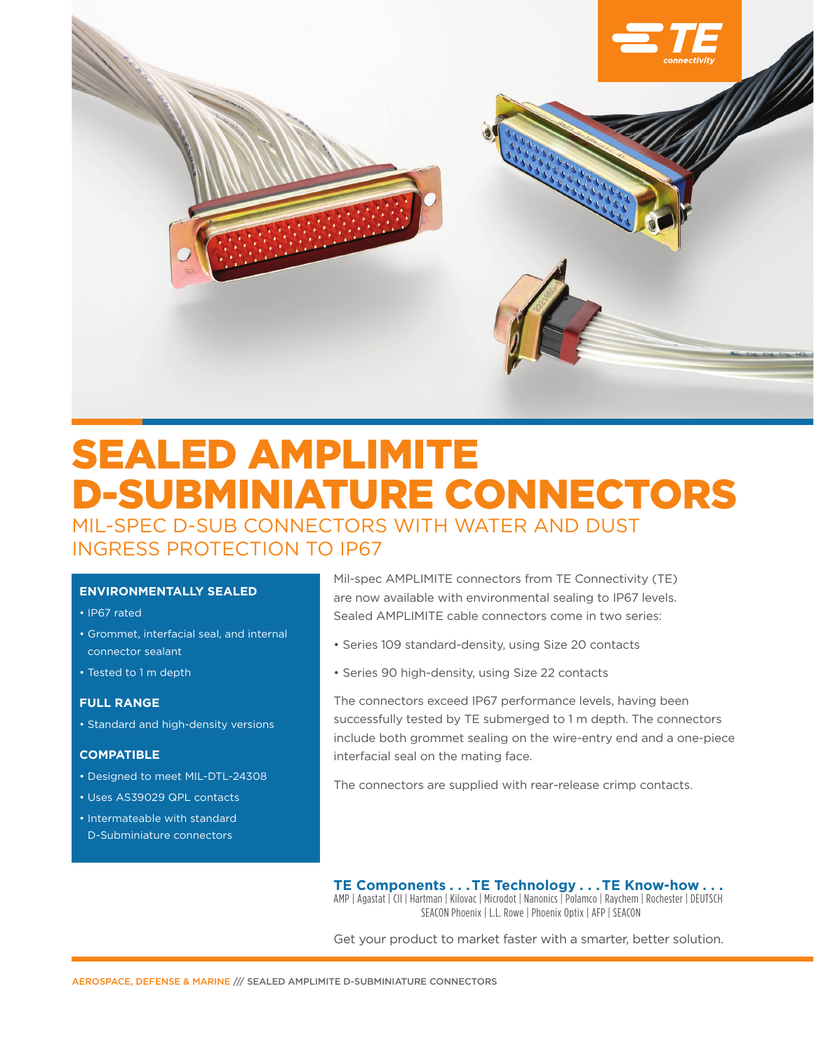

# SEALED AMPLIMITE D-SUBMINIATURE CONNECTORS MIL-SPEC D-SUB CONNECTORS WITH WATER AND DUST INGRESS PROTECTION TO IP67

## **ENVIRONMENTALLY SEALED**

- IP67 rated
- Grommet, interfacial seal, and internal connector sealant
- Tested to 1 m depth

## **FULL RANGE**

• Standard and high-density versions

#### **COMPATIBLE**

- Designed to meet MIL-DTL-24308
- Uses AS39029 QPL contacts
- Intermateable with standard D-Subminiature connectors

Mil-spec AMPLIMITE connectors from TE Connectivity (TE) are now available with environmental sealing to IP67 levels. Sealed AMPLIMITE cable connectors come in two series:

- Series 109 standard-density, using Size 20 contacts
- Series 90 high-density, using Size 22 contacts

The connectors exceed IP67 performance levels, having been successfully tested by TE submerged to 1 m depth. The connectors include both grommet sealing on the wire-entry end and a one-piece interfacial seal on the mating face.

The connectors are supplied with rear-release crimp contacts.

**TE Components . . . TE Technology . . . TE Know-how . . .** AMP | Agastat | CII | Hartman | Kilovac | Microdot | Nanonics | Polamco | Raychem | Rochester | DEUTSCH SEACON Phoenix | L.L. Rowe | Phoenix Optix | AFP | SEACON

Get your product to market faster with a smarter, better solution.